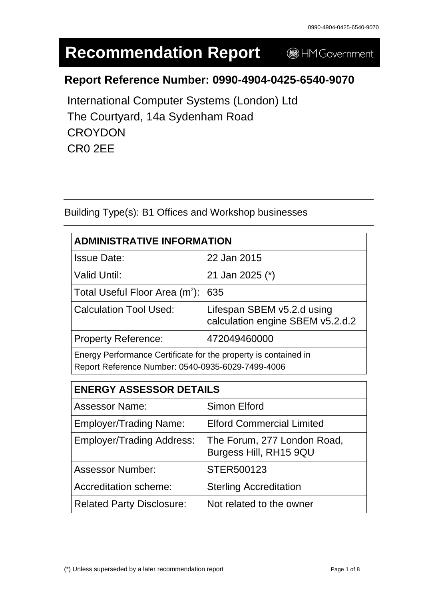# **Recommendation Report**

HM Government

# **Report Reference Number: 0990-4904-0425-6540-9070**

International Computer Systems (London) Ltd The Courtyard, 14a Sydenham Road **CROYDON** CR0 2EE

Building Type(s): B1 Offices and Workshop businesses

| <b>ADMINISTRATIVE INFORMATION</b>                                                                                    |                                                                |  |
|----------------------------------------------------------------------------------------------------------------------|----------------------------------------------------------------|--|
| <b>Issue Date:</b>                                                                                                   | 22 Jan 2015                                                    |  |
| <b>Valid Until:</b>                                                                                                  | 21 Jan 2025 (*)                                                |  |
| Total Useful Floor Area $(m^2)$ :                                                                                    | 635                                                            |  |
| <b>Calculation Tool Used:</b>                                                                                        | Lifespan SBEM v5.2.d using<br>calculation engine SBEM v5.2.d.2 |  |
| <b>Property Reference:</b>                                                                                           | 472049460000                                                   |  |
| Energy Performance Certificate for the property is contained in<br>Report Reference Number: 0540-0935-6029-7499-4006 |                                                                |  |

| <b>ENERGY ASSESSOR DETAILS</b>   |                                                       |  |
|----------------------------------|-------------------------------------------------------|--|
| <b>Assessor Name:</b>            | Simon Elford                                          |  |
| <b>Employer/Trading Name:</b>    | <b>Elford Commercial Limited</b>                      |  |
| <b>Employer/Trading Address:</b> | The Forum, 277 London Road,<br>Burgess Hill, RH15 9QU |  |
| <b>Assessor Number:</b>          | STER500123                                            |  |
| Accreditation scheme:            | <b>Sterling Accreditation</b>                         |  |
| <b>Related Party Disclosure:</b> | Not related to the owner                              |  |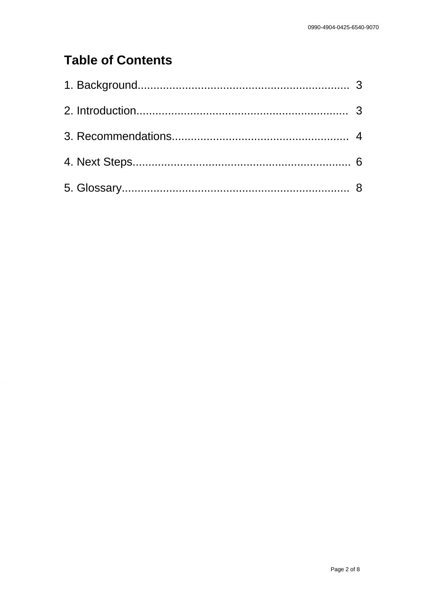# **Table of Contents**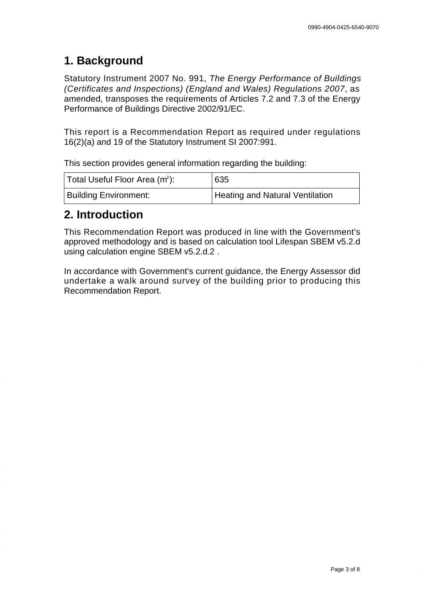# **1. Background**

Statutory Instrument 2007 No. 991, The Energy Performance of Buildings (Certificates and Inspections) (England and Wales) Regulations 2007, as amended, transposes the requirements of Articles 7.2 and 7.3 of the Energy Performance of Buildings Directive 2002/91/EC.

This report is a Recommendation Report as required under regulations 16(2)(a) and 19 of the Statutory Instrument SI 2007:991.

This section provides general information regarding the building:

| Total Useful Floor Area (m <sup>2</sup> ): | 635                             |
|--------------------------------------------|---------------------------------|
| <b>Building Environment:</b>               | Heating and Natural Ventilation |

# **2. Introduction**

This Recommendation Report was produced in line with the Government's approved methodology and is based on calculation tool Lifespan SBEM v5.2.d using calculation engine SBEM v5.2.d.2 .

In accordance with Government's current guidance, the Energy Assessor did undertake a walk around survey of the building prior to producing this Recommendation Report.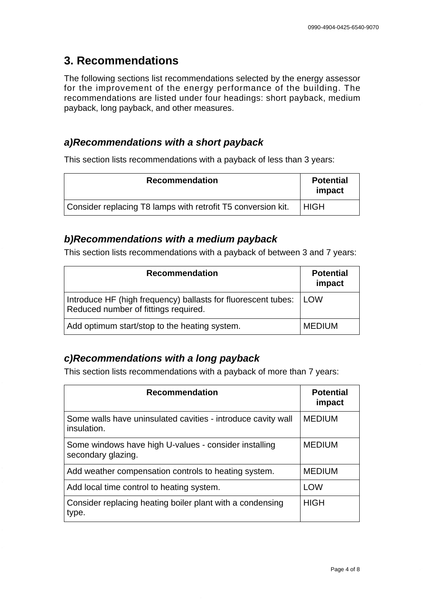# **3. Recommendations**

The following sections list recommendations selected by the energy assessor for the improvement of the energy performance of the building. The recommendations are listed under four headings: short payback, medium payback, long payback, and other measures.

#### **a) Recommendations with a short payback**

This section lists recommendations with a payback of less than 3 years:

| <b>Recommendation</b>                                        | <b>Potential</b><br>impact |
|--------------------------------------------------------------|----------------------------|
| Consider replacing T8 lamps with retrofit T5 conversion kit. | <b>HIGH</b>                |

#### **b) Recommendations with a medium payback**

This section lists recommendations with a payback of between 3 and 7 years:

| <b>Recommendation</b>                                                                                       | <b>Potential</b><br>impact |
|-------------------------------------------------------------------------------------------------------------|----------------------------|
| Introduce HF (high frequency) ballasts for fluorescent tubes:   LOW<br>Reduced number of fittings required. |                            |
| Add optimum start/stop to the heating system.                                                               | <b>MEDIUM</b>              |

# **c) Recommendations with a long payback**

This section lists recommendations with a payback of more than 7 years:

| <b>Recommendation</b>                                                       | <b>Potential</b><br>impact |
|-----------------------------------------------------------------------------|----------------------------|
| Some walls have uninsulated cavities - introduce cavity wall<br>insulation. | <b>MEDIUM</b>              |
| Some windows have high U-values - consider installing<br>secondary glazing. | <b>MEDIUM</b>              |
| Add weather compensation controls to heating system.                        | <b>MEDIUM</b>              |
| Add local time control to heating system.                                   | <b>LOW</b>                 |
| Consider replacing heating boiler plant with a condensing<br>type.          | <b>HIGH</b>                |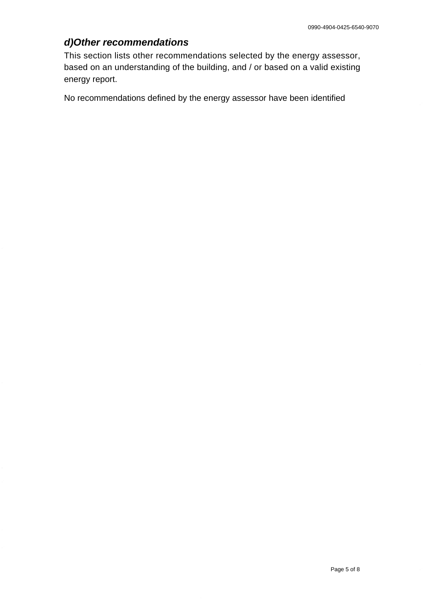# **d) Other recommendations**

This section lists other recommendations selected by the energy assessor, based on an understanding of the building, and / or based on a valid existing energy report.

No recommendations defined by the energy assessor have been identified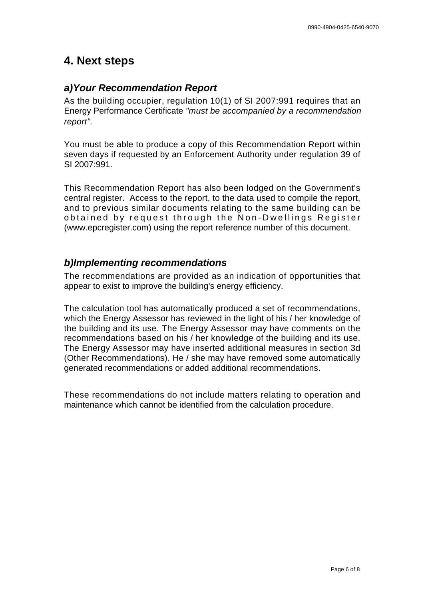# **4. Next steps**

#### **a) Your Recommendation Report**

As the building occupier, regulation 10(1) of SI 2007:991 requires that an Energy Performance Certificate "must be accompanied by a recommendation report".

You must be able to produce a copy of this Recommendation Report within seven days if requested by an Enforcement Authority under regulation 39 of SI 2007:991.

This Recommendation Report has also been lodged on the Government's central register. Access to the report, to the data used to compile the report, and to previous similar documents relating to the same building can be obtained by request through the Non-Dwellings Register [\(www.epcregister.com\)](http://www.epcregister.com) using the report reference number of this document.

#### **b) Implementing recommendations**

The recommendations are provided as an indication of opportunities that appear to exist to improve the building's energy efficiency.

The calculation tool has automatically produced a set of recommendations, which the Energy Assessor has reviewed in the light of his / her knowledge of the building and its use. The Energy Assessor may have comments on the recommendations based on his / her knowledge of the building and its use. The Energy Assessor may have inserted additional measures in section 3d (Other Recommendations). He / she may have removed some automatically generated recommendations or added additional recommendations.

These recommendations do not include matters relating to operation and maintenance which cannot be identified from the calculation procedure.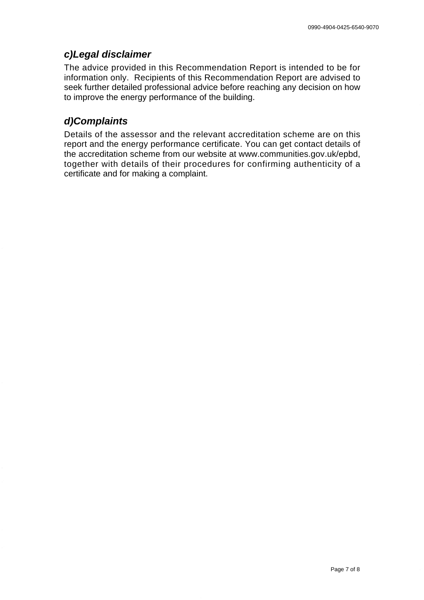#### **c) Legal disclaimer**

The advice provided in this Recommendation Report is intended to be for information only. Recipients of this Recommendation Report are advised to seek further detailed professional advice before reaching any decision on how to improve the energy performance of the building.

# **d) Complaints**

Details of the assessor and the relevant accreditation scheme are on this report and the energy performance certificate. You can get contact details of the accreditation scheme from our website [at www.communities.gov.uk/epbd,](http://www.communities.gov.uk/epbd) together with details of their procedures for confirming authenticity of a certificate and for making a complaint.